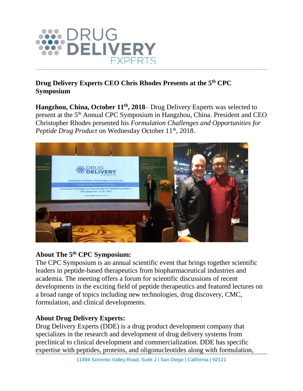

## **Drug Delivery Experts CEO Chris Rhodes Presents at the 5th CPC Symposium**

**Hangzhou, China, October 11 th, 2018**– Drug Delivery Experts was selected to present at the 5<sup>th</sup> Annual CPC Symposium in Hangzhou, China. President and CEO Christopher Rhodes presented his *Formulation Challenges and Opportunities for Peptide Drug Product* on Wednesday October 11<sup>th</sup>, 2018.



## **About The 5th CPC Symposium:**

The CPC Symposium is an annual scientific event that brings together scientific leaders in peptide-based therapeutics from biopharmaceutical industries and academia. The meeting offers a forum for scientific discussions of recent developments in the exciting field of peptide therapeutics and featured lectures on a broad range of topics including new technologies, drug discovery, CMC, formulation, and clinical developments.

## **About Drug Delivery Experts:**

Drug Delivery Experts (DDE) is a drug product development company that specializes in the research and development of drug delivery systems from preclinical to clinical development and commercialization. DDE has specific expertise with peptides, proteins, and oligonucleotides along with formulation,